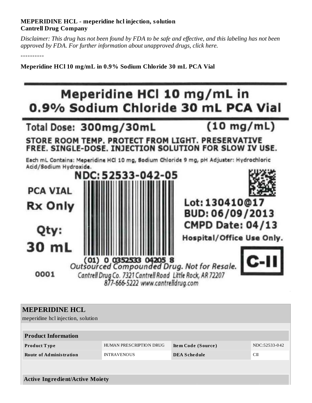## **MEPERIDINE HCL - meperidine hcl injection, solution Cantrell Drug Company**

Disclaimer: This drug has not been found by FDA to be safe and effective, and this labeling has not been *approved by FDA. For further information about unapproved drugs, click here.*

----------

**Meperidine HCl 10 mg/mL in 0.9% Sodium Chloride 30 mL PCA Vial**



| <b>MEPERIDINE HCL</b><br>meperidine hcl injection, solution |                         |                     |               |  |  |  |  |
|-------------------------------------------------------------|-------------------------|---------------------|---------------|--|--|--|--|
| <b>Product Information</b>                                  |                         |                     |               |  |  |  |  |
| <b>Product Type</b>                                         | HUMAN PRESCRIPTION DRUG | Item Code (Source)  | NDC:52533-042 |  |  |  |  |
| <b>Route of Administration</b>                              | <b>INTRAVENOUS</b>      | <b>DEA Schedule</b> | CП            |  |  |  |  |
|                                                             |                         |                     |               |  |  |  |  |
|                                                             |                         |                     |               |  |  |  |  |
| <b>Active Ingredient/Active Moiety</b>                      |                         |                     |               |  |  |  |  |